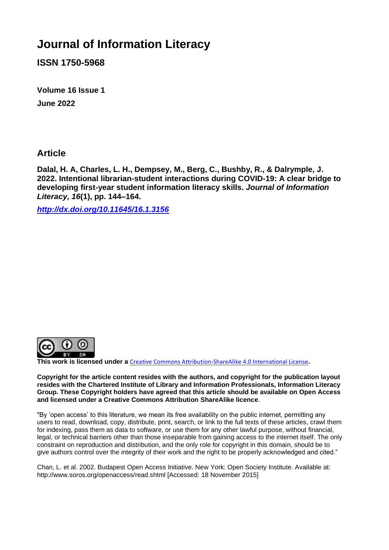# **Journal of Information Literacy**

**ISSN 1750-5968**

**Volume 16 Issue 1 June 2022**

**Article** 

**Dalal, H. A, Charles, L. H., Dempsey, M., Berg, C., Bushby, R., & Dalrymple, J. 2022. Intentional librarian-student interactions during COVID-19: A clear bridge to developing first-year student information literacy skills.** *Journal of Information Literacy, 16***(1), pp. 144–164.**

*<http://dx.doi.org/10.11645/16.1.3156>*



**This work is licensed under a** [Creative Commons Attribution-ShareAlike 4.0 International License](http://creativecommons.org/licenses/by-sa/4.0/)**.**

**Copyright for the article content resides with the authors, and copyright for the publication layout resides with the Chartered Institute of Library and Information Professionals, Information Literacy Group. These Copyright holders have agreed that this article should be available on Open Access and licensed under a Creative Commons Attribution ShareAlike licence**.

"By 'open access' to this literature, we mean its free availability on the public internet, permitting any users to read, download, copy, distribute, print, search, or link to the full texts of these articles, crawl them for indexing, pass them as data to software, or use them for any other lawful purpose, without financial, legal, or technical barriers other than those inseparable from gaining access to the internet itself. The only constraint on reproduction and distribution, and the only role for copyright in this domain, should be to give authors control over the integrity of their work and the right to be properly acknowledged and cited."

Chan, L. et al. 2002. Budapest Open Access Initiative. New York: Open Society Institute. Available at: http://www.soros.org/openaccess/read.shtml [Accessed: 18 November 2015]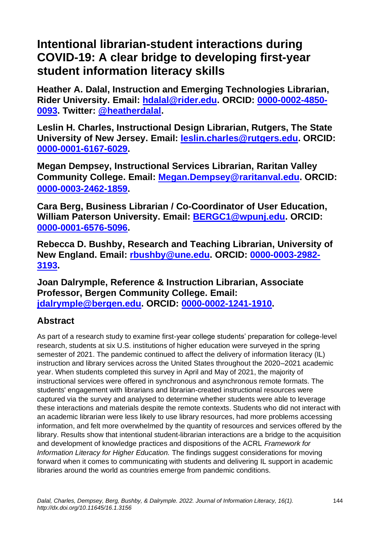# **Intentional librarian-student interactions during COVID-19: A clear bridge to developing first-year student information literacy skills**

**Heather A. Dalal, Instruction and Emerging Technologies Librarian, Rider University. Email: [hdalal@rider.edu.](mailto:hdalal@rider.edu) ORCID: [0000-0002-4850-](http://orcid.org/0000-0002-4850-0093) [0093.](http://orcid.org/0000-0002-4850-0093) Twitter: [@heatherdalal.](https://twitter.com/heatherdalal?lang=en-GB)**

**Leslin H. Charles, Instructional Design Librarian, Rutgers, The State University of New Jersey. Email: [leslin.charles@rutgers.edu.](mailto:leslin.charles@rutgers.edu) ORCID: [0000-0001-6167-6029.](http://orcid.org/0000-0001-6167-6029)** 

**Megan Dempsey, Instructional Services Librarian, Raritan Valley Community College. Email: [Megan.Dempsey@raritanval.edu.](mailto:Megan.Dempsey@raritanval.edu) ORCID: [0000-0003-2462-1859.](http://orcid.org/0000-0003-2462-1859)** 

**Cara Berg, Business Librarian / Co-Coordinator of User Education, William Paterson University. Email: [BERGC1@wpunj.edu.](mailto:BERGC1@wpunj.edu) ORCID: [0000-0001-6576-5096.](http://orcid.org/0000-0001-6576-5096)** 

**Rebecca D. Bushby, Research and Teaching Librarian, University of New England. Email: [rbushby@une.edu.](mailto:rbushby@une.edu) ORCID: [0000-0003-2982-](http://orcid.org/0000-0003-2982-3193) [3193.](http://orcid.org/0000-0003-2982-3193)**

**Joan Dalrymple, Reference & Instruction Librarian, Associate Professor, Bergen Community College. Email: [jdalrymple@bergen.edu.](mailto:jdalrymple@bergen.edu) ORCID: [0000-0002-1241-1910.](http://orcid.org/0000-0002-1241-1910)** 

# **Abstract**

As part of a research study to examine first-year college students' preparation for college-level research, students at six U.S. institutions of higher education were surveyed in the spring semester of 2021. The pandemic continued to affect the delivery of information literacy (IL) instruction and library services across the United States throughout the 2020–2021 academic year. When students completed this survey in April and May of 2021, the majority of instructional services were offered in synchronous and asynchronous remote formats. The students' engagement with librarians and librarian-created instructional resources were captured via the survey and analysed to determine whether students were able to leverage these interactions and materials despite the remote contexts. Students who did not interact with an academic librarian were less likely to use library resources, had more problems accessing information, and felt more overwhelmed by the quantity of resources and services offered by the library. Results show that intentional student-librarian interactions are a bridge to the acquisition and development of knowledge practices and dispositions of the ACRL *Framework for Information Literacy for Higher Education.* The findings suggest considerations for moving forward when it comes to communicating with students and delivering IL support in academic libraries around the world as countries emerge from pandemic conditions.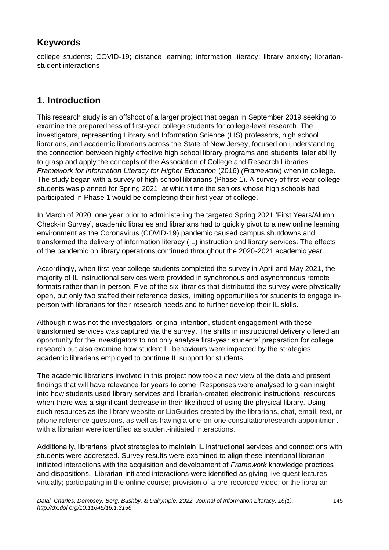## **Keywords**

college students; COVID-19; distance learning; information literacy; library anxiety; librarianstudent interactions

## **1. Introduction**

This research study is an offshoot of a larger project that began in September 2019 seeking to examine the preparedness of first-year college students for college-level research. The investigators, representing Library and Information Science (LIS) professors, high school librarians, and academic librarians across the State of New Jersey, focused on understanding the connection between highly effective high school library programs and students' later ability to grasp and apply the concepts of the Association of College and Research Libraries *Framework for Information Literacy for Higher Education* (2016) *(Framework*) when in college. The study began with a survey of high school librarians (Phase 1). A survey of first-year college students was planned for Spring 2021, at which time the seniors whose high schools had participated in Phase 1 would be completing their first year of college.

In March of 2020, one year prior to administering the targeted Spring 2021 'First Years/Alumni Check-in Survey', academic libraries and librarians had to quickly pivot to a new online learning environment as the Coronavirus (COVID-19) pandemic caused campus shutdowns and transformed the delivery of information literacy (IL) instruction and library services. The effects of the pandemic on library operations continued throughout the 2020-2021 academic year.

Accordingly, when first-year college students completed the survey in April and May 2021, the majority of IL instructional services were provided in synchronous and asynchronous remote formats rather than in-person. Five of the six libraries that distributed the survey were physically open, but only two staffed their reference desks, limiting opportunities for students to engage inperson with librarians for their research needs and to further develop their IL skills.

Although it was not the investigators' original intention, student engagement with these transformed services was captured via the survey. The shifts in instructional delivery offered an opportunity for the investigators to not only analyse first-year students' preparation for college research but also examine how student IL behaviours were impacted by the strategies academic librarians employed to continue IL support for students.

The academic librarians involved in this project now took a new view of the data and present findings that will have relevance for years to come. Responses were analysed to glean insight into how students used library services and librarian-created electronic instructional resources when there was a significant decrease in their likelihood of using the physical library. Using such resources as the library website or LibGuides created by the librarians, chat, email, text, or phone reference questions, as well as having a one-on-one consultation/research appointment with a librarian were identified as student-initiated interactions.

Additionally, librarians' pivot strategies to maintain IL instructional services and connections with students were addressed. Survey results were examined to align these intentional librarianinitiated interactions with the acquisition and development of *Framework* knowledge practices and dispositions. Librarian-initiated interactions were identified as giving live guest lectures virtually; participating in the online course; provision of a pre-recorded video; or the librarian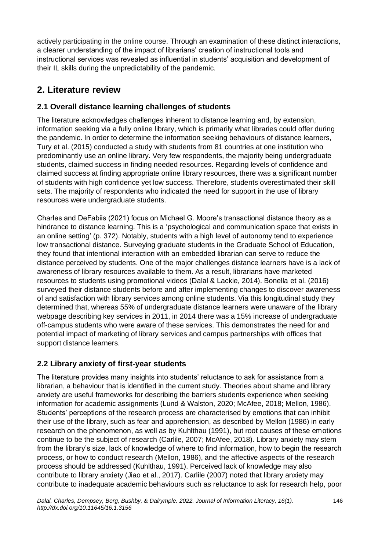actively participating in the online course. Through an examination of these distinct interactions, a clearer understanding of the impact of librarians' creation of instructional tools and instructional services was revealed as influential in students' acquisition and development of their IL skills during the unpredictability of the pandemic.

# **2. Literature review**

## **2.1 Overall distance learning challenges of students**

The literature acknowledges challenges inherent to distance learning and, by extension, information seeking via a fully online library, which is primarily what libraries could offer during the pandemic. In order to determine the information seeking behaviours of distance learners, Tury et al. (2015) conducted a study with students from 81 countries at one institution who predominantly use an online library. Very few respondents, the majority being undergraduate students, claimed success in finding needed resources. Regarding levels of confidence and claimed success at finding appropriate online library resources, there was a significant number of students with high confidence yet low success. Therefore, students overestimated their skill sets. The majority of respondents who indicated the need for support in the use of library resources were undergraduate students.

Charles and DeFabiis (2021) focus on Michael G. Moore's transactional distance theory as a hindrance to distance learning. This is a 'psychological and communication space that exists in an online setting' (p. 372). Notably, students with a high level of autonomy tend to experience low transactional distance. Surveying graduate students in the Graduate School of Education, they found that intentional interaction with an embedded librarian can serve to reduce the distance perceived by students. One of the major challenges distance learners have is a lack of awareness of library resources available to them. As a result, librarians have marketed resources to students using promotional videos (Dalal & Lackie, 2014). Bonella et al. (2016) surveyed their distance students before and after implementing changes to discover awareness of and satisfaction with library services among online students. Via this longitudinal study they determined that, whereas 55% of undergraduate distance learners were unaware of the library webpage describing key services in 2011, in 2014 there was a 15% increase of undergraduate off-campus students who were aware of these services. This demonstrates the need for and potential impact of marketing of library services and campus partnerships with offices that support distance learners.

## **2.2 Library anxiety of first-year students**

The literature provides many insights into students' reluctance to ask for assistance from a librarian, a behaviour that is identified in the current study. Theories about shame and library anxiety are useful frameworks for describing the barriers students experience when seeking information for academic assignments (Lund & Walston, 2020; McAfee, 2018; Mellon, 1986). Students' perceptions of the research process are characterised by emotions that can inhibit their use of the library, such as fear and apprehension, as described by Mellon (1986) in early research on the phenomenon, as well as by Kuhlthau (1991), but root causes of these emotions continue to be the subject of research (Carlile, 2007; McAfee, 2018). Library anxiety may stem from the library's size, lack of knowledge of where to find information, how to begin the research process, or how to conduct research (Mellon, 1986), and the affective aspects of the research process should be addressed (Kuhlthau, 1991). Perceived lack of knowledge may also contribute to library anxiety (Jiao et al., 2017). Carlile (2007) noted that library anxiety may contribute to inadequate academic behaviours such as reluctance to ask for research help, poor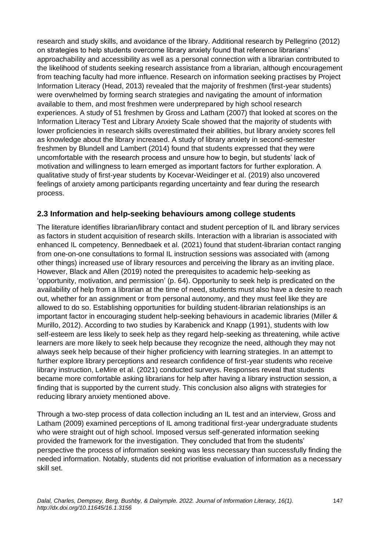research and study skills, and avoidance of the library. Additional research by Pellegrino (2012) on strategies to help students overcome library anxiety found that reference librarians' approachability and accessibility as well as a personal connection with a librarian contributed to the likelihood of students seeking research assistance from a librarian, although encouragement from teaching faculty had more influence. Research on information seeking practises by Project Information Literacy (Head, 2013) revealed that the majority of freshmen (first-year students) were overwhelmed by forming search strategies and navigating the amount of information available to them, and most freshmen were underprepared by high school research experiences. A study of 51 freshmen by Gross and Latham (2007) that looked at scores on the Information Literacy Test and Library Anxiety Scale showed that the majority of students with lower proficiencies in research skills overestimated their abilities, but library anxiety scores fell as knowledge about the library increased. A study of library anxiety in second-semester freshmen by Blundell and Lambert (2014) found that students expressed that they were uncomfortable with the research process and unsure how to begin, but students' lack of motivation and willingness to learn emerged as important factors for further exploration. A qualitative study of first-year students by Kocevar-Weidinger et al. (2019) also uncovered feelings of anxiety among participants regarding uncertainty and fear during the research process.

#### **2.3 Information and help-seeking behaviours among college students**

The literature identifies librarian/library contact and student perception of IL and library services as factors in student acquisition of research skills. Interaction with a librarian is associated with enhanced IL competency. Bennedbaek et al. (2021) found that student-librarian contact ranging from one-on-one consultations to formal IL instruction sessions was associated with (among other things) increased use of library resources and perceiving the library as an inviting place. However, Black and Allen (2019) noted the prerequisites to academic help-seeking as 'opportunity, motivation, and permission' (p. 64). Opportunity to seek help is predicated on the availability of help from a librarian at the time of need, students must also have a desire to reach out, whether for an assignment or from personal autonomy, and they must feel like they are allowed to do so. Establishing opportunities for building student-librarian relationships is an important factor in encouraging student help-seeking behaviours in academic libraries (Miller & Murillo, 2012). According to two studies by Karabenick and Knapp (1991), students with low self-esteem are less likely to seek help as they regard help-seeking as threatening, while active learners are more likely to seek help because they recognize the need, although they may not always seek help because of their higher proficiency with learning strategies. In an attempt to further explore library perceptions and research confidence of first-year students who receive library instruction, LeMire et al. (2021) conducted surveys. Responses reveal that students became more comfortable asking librarians for help after having a library instruction session, a finding that is supported by the current study. This conclusion also aligns with strategies for reducing library anxiety mentioned above.

Through a two-step process of data collection including an IL test and an interview, Gross and Latham (2009) examined perceptions of IL among traditional first-year undergraduate students who were straight out of high school. Imposed versus self-generated information seeking provided the framework for the investigation. They concluded that from the students' perspective the process of information seeking was less necessary than successfully finding the needed information. Notably, students did not prioritise evaluation of information as a necessary skill set.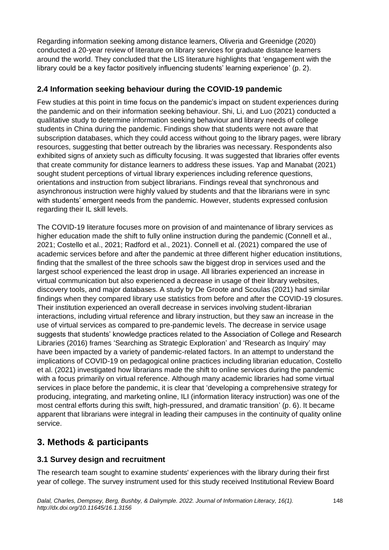Regarding information seeking among distance learners, Oliveria and Greenidge (2020) conducted a 20-year review of literature on library services for graduate distance learners around the world. They concluded that the LIS literature highlights that 'engagement with the library could be a key factor positively influencing students' learning experience' (p. 2).

#### **2.4 Information seeking behaviour during the COVID-19 pandemic**

Few studies at this point in time focus on the pandemic's impact on student experiences during the pandemic and on their information seeking behaviour. Shi, Li, and Luo (2021) conducted a qualitative study to determine information seeking behaviour and library needs of college students in China during the pandemic. Findings show that students were not aware that subscription databases, which they could access without going to the library pages, were library resources, suggesting that better outreach by the libraries was necessary. Respondents also exhibited signs of anxiety such as difficulty focusing. It was suggested that libraries offer events that create community for distance learners to address these issues. Yap and Manabat (2021) sought student perceptions of virtual library experiences including reference questions, orientations and instruction from subject librarians. Findings reveal that synchronous and asynchronous instruction were highly valued by students and that the librarians were in sync with students' emergent needs from the pandemic. However, students expressed confusion regarding their IL skill levels.

The COVID-19 literature focuses more on provision of and maintenance of library services as higher education made the shift to fully online instruction during the pandemic (Connell et al., 2021; Costello et al., 2021; Radford et al., 2021). Connell et al. (2021) compared the use of academic services before and after the pandemic at three different higher education institutions, finding that the smallest of the three schools saw the biggest drop in services used and the largest school experienced the least drop in usage. All libraries experienced an increase in virtual communication but also experienced a decrease in usage of their library websites, discovery tools, and major databases. A study by De Groote and Scoulas (2021) had similar findings when they compared library use statistics from before and after the COVID-19 closures. Their institution experienced an overall decrease in services involving student-librarian interactions, including virtual reference and library instruction, but they saw an increase in the use of virtual services as compared to pre-pandemic levels. The decrease in service usage suggests that students' knowledge practices related to the Association of College and Research Libraries (2016) frames 'Searching as Strategic Exploration' and 'Research as Inquiry' may have been impacted by a variety of pandemic-related factors. In an attempt to understand the implications of COVID-19 on pedagogical online practices including librarian education, Costello et al. (2021) investigated how librarians made the shift to online services during the pandemic with a focus primarily on virtual reference. Although many academic libraries had some virtual services in place before the pandemic, it is clear that 'developing a comprehensive strategy for producing, integrating, and marketing online, ILI (information literacy instruction) was one of the most central efforts during this swift, high-pressured, and dramatic transition' (p. 6). It became apparent that librarians were integral in leading their campuses in the continuity of quality online service.

# **3. Methods & participants**

## **3.1 Survey design and recruitment**

The research team sought to examine students' experiences with the library during their first year of college. The survey instrument used for this study received Institutional Review Board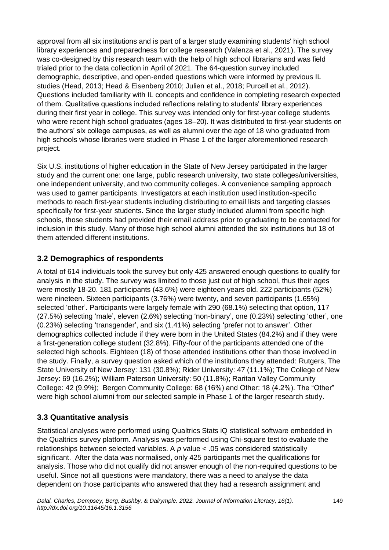approval from all six institutions and is part of a larger study examining students' high school library experiences and preparedness for college research (Valenza et al., 2021). The survey was co-designed by this research team with the help of high school librarians and was field trialed prior to the data collection in April of 2021. The 64-question survey included demographic, descriptive, and open-ended questions which were informed by previous IL studies (Head, 2013; Head & Eisenberg 2010; Julien et al., 2018; Purcell et al., 2012). Questions included familiarity with IL concepts and confidence in completing research expected of them. Qualitative questions included reflections relating to students' library experiences during their first year in college. This survey was intended only for first-year college students who were recent high school graduates (ages 18–20). It was distributed to first-year students on the authors' six college campuses, as well as alumni over the age of 18 who graduated from high schools whose libraries were studied in Phase 1 of the larger aforementioned research project.

Six U.S. institutions of higher education in the State of New Jersey participated in the larger study and the current one: one large, public research university, two state colleges/universities, one independent university, and two community colleges. A convenience sampling approach was used to garner participants. Investigators at each institution used institution-specific methods to reach first-year students including distributing to email lists and targeting classes specifically for first-year students. Since the larger study included alumni from specific high schools, those students had provided their email address prior to graduating to be contacted for inclusion in this study. Many of those high school alumni attended the six institutions but 18 of them attended different institutions.

#### **3.2 Demographics of respondents**

A total of 614 individuals took the survey but only 425 answered enough questions to qualify for analysis in the study. The survey was limited to those just out of high school, thus their ages were mostly 18-20. 181 participants (43.6%) were eighteen years old. 222 participants (52%) were nineteen. Sixteen participants (3.76%) were twenty, and seven participants (1.65%) selected 'other'. Participants were largely female with 290 (68.1%) selecting that option, 117 (27.5%) selecting 'male', eleven (2.6%) selecting 'non-binary', one (0.23%) selecting 'other', one (0.23%) selecting 'transgender', and six (1.41%) selecting 'prefer not to answer'. Other demographics collected include if they were born in the United States (84.2%) and if they were a first-generation college student (32.8%). Fifty-four of the participants attended one of the selected high schools. Eighteen (18) of those attended institutions other than those involved in the study. Finally, a survey question asked which of the institutions they attended: Rutgers, The State University of New Jersey: 131 (30.8%); Rider University: 47 (11.1%); The College of New Jersey: 69 (16.2%); William Paterson University: 50 (11.8%); Raritan Valley Community College: 42 (9.9%); Bergen Community College: 68 (16%) and Other: 18 (4.2%). The "Other" were high school alumni from our selected sample in Phase 1 of the larger research study.

## **3.3 Quantitative analysis**

Statistical analyses were performed using Qualtrics Stats iQ statistical software embedded in the Qualtrics survey platform. Analysis was performed using Chi-square test to evaluate the relationships between selected variables. A *p* value < .05 was considered statistically significant. After the data was normalised, only 425 participants met the qualifications for analysis. Those who did not qualify did not answer enough of the non-required questions to be useful. Since not all questions were mandatory, there was a need to analyse the data dependent on those participants who answered that they had a research assignment and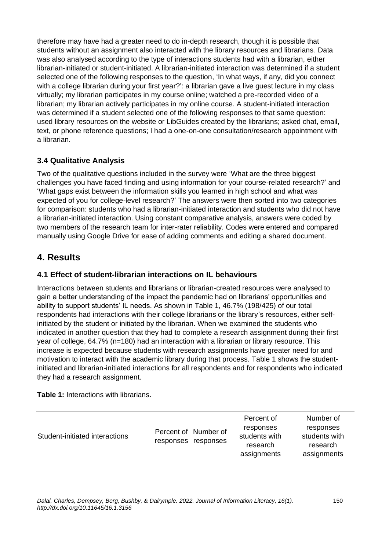therefore may have had a greater need to do in-depth research, though it is possible that students without an assignment also interacted with the library resources and librarians. Data was also analysed according to the type of interactions students had with a librarian, either librarian-initiated or student-initiated. A librarian-initiated interaction was determined if a student selected one of the following responses to the question, 'In what ways, if any, did you connect with a college librarian during your first year?': a librarian gave a live guest lecture in my class virtually; my librarian participates in my course online; watched a pre-recorded video of a librarian; my librarian actively participates in my online course. A student-initiated interaction was determined if a student selected one of the following responses to that same question: used library resources on the website or LibGuides created by the librarians; asked chat, email, text, or phone reference questions; I had a one-on-one consultation/research appointment with a librarian.

## **3.4 Qualitative Analysis**

Two of the qualitative questions included in the survey were 'What are the three biggest challenges you have faced finding and using information for your course-related research?' and 'What gaps exist between the information skills you learned in high school and what was expected of you for college-level research?' The answers were then sorted into two categories for comparison: students who had a librarian-initiated interaction and students who did not have a librarian-initiated interaction. Using constant comparative analysis, answers were coded by two members of the research team for inter-rater reliability. Codes were entered and compared manually using Google Drive for ease of adding comments and editing a shared document.

## **4. Results**

#### **4.1 Effect of student-librarian interactions on IL behaviours**

Interactions between students and librarians or librarian-created resources were analysed to gain a better understanding of the impact the pandemic had on librarians' opportunities and ability to support students' IL needs. As shown in Table 1, 46.7% (198/425) of our total respondents had interactions with their college librarians or the library's resources, either selfinitiated by the student or initiated by the librarian. When we examined the students who indicated in another question that they had to complete a research assignment during their first year of college, 64.7% (n=180) had an interaction with a librarian or library resource. This increase is expected because students with research assignments have greater need for and motivation to interact with the academic library during that process. Table 1 shows the studentinitiated and librarian-initiated interactions for all respondents and for respondents who indicated they had a research assignment.

**Table 1:** Interactions with librarians.

| Student-initiated interactions |  | Percent of Number of<br>responses responses | Percent of<br>responses<br>students with<br>research<br>assignments | Number of<br>responses<br>students with<br>research<br>assignments |
|--------------------------------|--|---------------------------------------------|---------------------------------------------------------------------|--------------------------------------------------------------------|
|--------------------------------|--|---------------------------------------------|---------------------------------------------------------------------|--------------------------------------------------------------------|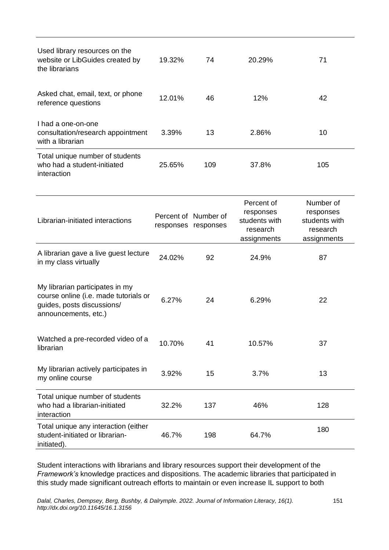| Used library resources on the<br>website or LibGuides created by<br>the librarians                                             | 19.32% | 74                                          | 20.29%                                                              | 71                                                                 |
|--------------------------------------------------------------------------------------------------------------------------------|--------|---------------------------------------------|---------------------------------------------------------------------|--------------------------------------------------------------------|
| Asked chat, email, text, or phone<br>reference questions                                                                       | 12.01% | 46                                          | 12%                                                                 | 42                                                                 |
| I had a one-on-one<br>consultation/research appointment<br>with a librarian                                                    | 3.39%  | 13                                          | 2.86%                                                               | 10                                                                 |
| Total unique number of students<br>who had a student-initiated<br>interaction                                                  | 25.65% | 109                                         | 37.8%                                                               | 105                                                                |
| Librarian-initiated interactions                                                                                               |        | Percent of Number of<br>responses responses | Percent of<br>responses<br>students with<br>research<br>assignments | Number of<br>responses<br>students with<br>research<br>assignments |
| A librarian gave a live guest lecture<br>in my class virtually                                                                 | 24.02% | 92                                          | 24.9%                                                               | 87                                                                 |
| My librarian participates in my<br>course online (i.e. made tutorials or<br>guides, posts discussions/<br>announcements, etc.) | 6.27%  | 24                                          | 6.29%                                                               | 22                                                                 |
| Watched a pre-recorded video of a<br>librarian                                                                                 | 10.70% | 41                                          | 10.57%<br>37                                                        |                                                                    |
| My librarian actively participates in<br>my online course                                                                      | 3.92%  | 15                                          | 3.7%<br>13                                                          |                                                                    |
| Total unique number of students<br>who had a librarian-initiated<br>interaction                                                | 32.2%  | 137                                         | 46%                                                                 | 128                                                                |
| Total unique any interaction (either<br>student-initiated or librarian-<br>initiated).                                         | 46.7%  | 198                                         | 64.7%                                                               | 180                                                                |

Student interactions with librarians and library resources support their development of the *Framework's* knowledge practices and dispositions. The academic libraries that participated in this study made significant outreach efforts to maintain or even increase IL support to both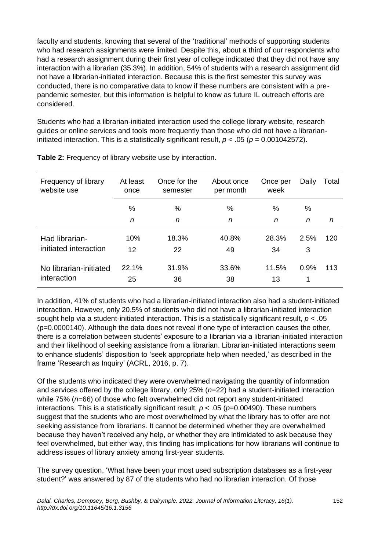faculty and students, knowing that several of the 'traditional' methods of supporting students who had research assignments were limited. Despite this, about a third of our respondents who had a research assignment during their first year of college indicated that they did not have any interaction with a librarian (35.3%). In addition, 54% of students with a research assignment did not have a librarian-initiated interaction. Because this is the first semester this survey was conducted, there is no comparative data to know if these numbers are consistent with a prepandemic semester, but this information is helpful to know as future IL outreach efforts are considered.

Students who had a librarian-initiated interaction used the college library website, research guides or online services and tools more frequently than those who did not have a librarianinitiated interaction. This is a statistically significant result, *p* < .05 (*p* = 0.001042572).

| Frequency of library<br>website use | At least<br>once | Once for the<br>semester | About once<br>per month | Once per<br>week | Daily | Total |
|-------------------------------------|------------------|--------------------------|-------------------------|------------------|-------|-------|
|                                     | %                | %                        | %                       | %                | %     |       |
|                                     | n                | n                        | n                       | n                | n     | n     |
| Had librarian-                      | 10%              | 18.3%                    | 40.8%                   | 28.3%            | 2.5%  | 120   |
| initiated interaction               | 12               | 22                       | 49                      | 34               | 3     |       |
| No librarian-initiated              | 22.1%            | 31.9%                    | 33.6%                   | 11.5%            | 0.9%  | 113   |
| interaction                         | 25               | 36                       | 38                      | 13               | 1     |       |

**Table 2:** Frequency of library website use by interaction.

In addition, 41% of students who had a librarian-initiated interaction also had a student-initiated interaction. However, only 20.5% of students who did not have a librarian-initiated interaction sought help via a student-initiated interaction. This is a statistically significant result, *p* < .05 (p=0.0000140). Although the data does not reveal if one type of interaction causes the other, there is a correlation between students' exposure to a librarian via a librarian-initiated interaction and their likelihood of seeking assistance from a librarian. Librarian-initiated interactions seem to enhance students' disposition to 'seek appropriate help when needed,' as described in the frame 'Research as Inquiry' (ACRL, 2016, p. 7).

Of the students who indicated they were overwhelmed navigating the quantity of information and services offered by the college library, only 25% (*n*=22) had a student-initiated interaction while 75% (*n*=66) of those who felt overwhelmed did not report any student-initiated interactions. This is a statistically significant result,  $p < .05$  ( $p=0.00490$ ). These numbers suggest that the students who are most overwhelmed by what the library has to offer are not seeking assistance from librarians. It cannot be determined whether they are overwhelmed because they haven't received any help, or whether they are intimidated to ask because they feel overwhelmed, but either way, this finding has implications for how librarians will continue to address issues of library anxiety among first-year students.

The survey question, 'What have been your most used subscription databases as a first-year student?' was answered by 87 of the students who had no librarian interaction. Of those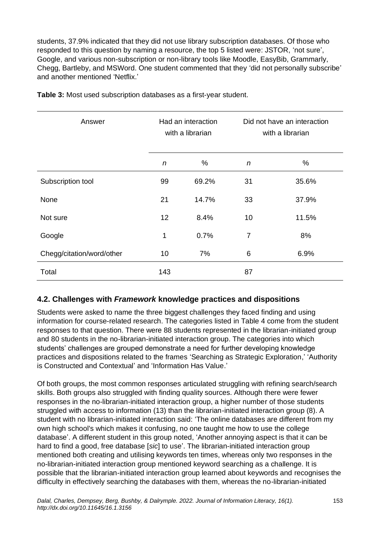students, 37.9% indicated that they did not use library subscription databases. Of those who responded to this question by naming a resource, the top 5 listed were: JSTOR, 'not sure', Google, and various non-subscription or non-library tools like Moodle, EasyBib, Grammarly, Chegg, Bartleby, and MSWord. One student commented that they 'did not personally subscribe' and another mentioned 'Netflix.'

| Answer                    | Had an interaction<br>with a librarian |       | Did not have an interaction<br>with a librarian |       |
|---------------------------|----------------------------------------|-------|-------------------------------------------------|-------|
|                           | n                                      | %     | n                                               | %     |
| Subscription tool         | 99                                     | 69.2% | 31                                              | 35.6% |
| None                      | 21                                     | 14.7% | 33                                              | 37.9% |
| Not sure                  | 12 <sup>2</sup>                        | 8.4%  | 10                                              | 11.5% |
| Google                    | 1                                      | 0.7%  | 7                                               | 8%    |
| Chegg/citation/word/other | 10                                     | 7%    | 6                                               | 6.9%  |
| Total                     | 143                                    |       | 87                                              |       |

**Table 3:** Most used subscription databases as a first-year student.

#### **4.2. Challenges with** *Framework* **knowledge practices and dispositions**

Students were asked to name the three biggest challenges they faced finding and using information for course-related research. The categories listed in Table 4 come from the student responses to that question. There were 88 students represented in the librarian-initiated group and 80 students in the no-librarian-initiated interaction group. The categories into which students' challenges are grouped demonstrate a need for further developing knowledge practices and dispositions related to the frames 'Searching as Strategic Exploration,' 'Authority is Constructed and Contextual' and 'Information Has Value.'

Of both groups, the most common responses articulated struggling with refining search/search skills. Both groups also struggled with finding quality sources. Although there were fewer responses in the no-librarian-initiated interaction group, a higher number of those students struggled with access to information (13) than the librarian-initiated interaction group (8). A student with no librarian-initiated interaction said: 'The online databases are different from my own high school's which makes it confusing, no one taught me how to use the college database'. A different student in this group noted, 'Another annoying aspect is that it can be hard to find a good, free database [*sic*] to use'. The librarian-initiated interaction group mentioned both creating and utilising keywords ten times, whereas only two responses in the no-librarian-initiated interaction group mentioned keyword searching as a challenge. It is possible that the librarian-initiated interaction group learned about keywords and recognises the difficulty in effectively searching the databases with them, whereas the no-librarian-initiated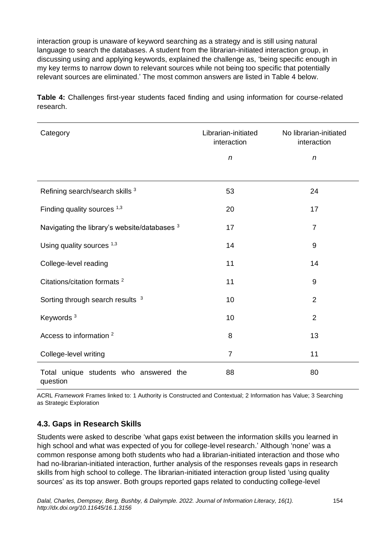interaction group is unaware of keyword searching as a strategy and is still using natural language to search the databases. A student from the librarian-initiated interaction group, in discussing using and applying keywords, explained the challenge as, 'being specific enough in my key terms to narrow down to relevant sources while not being too specific that potentially relevant sources are eliminated.' The most common answers are listed in Table 4 below.

**Table 4:** Challenges first-year students faced finding and using information for course-related research.

| Category                                           | Librarian-initiated<br>interaction | No librarian-initiated<br>interaction |  |
|----------------------------------------------------|------------------------------------|---------------------------------------|--|
|                                                    | $\boldsymbol{n}$                   | $\boldsymbol{n}$                      |  |
| Refining search/search skills 3                    | 53                                 | 24                                    |  |
| Finding quality sources 1,3                        | 20                                 | 17                                    |  |
| Navigating the library's website/databases 3       | 17                                 | $\overline{7}$                        |  |
| Using quality sources $1,3$                        | 14                                 | $9\,$                                 |  |
| College-level reading                              | 11                                 | 14                                    |  |
| Citations/citation formats <sup>2</sup>            | 11                                 | $\boldsymbol{9}$                      |  |
| Sorting through search results <sup>3</sup>        | 10                                 | $\overline{2}$                        |  |
| Keywords <sup>3</sup>                              | 10                                 | $\overline{2}$                        |  |
| Access to information <sup>2</sup>                 | 8                                  | 13                                    |  |
| College-level writing                              | $\overline{7}$                     | 11                                    |  |
| Total unique students who answered the<br>question | 88                                 | 80                                    |  |

ACRL *Framework* Frames linked to: 1 Authority is Constructed and Contextual; 2 Information has Value; 3 Searching as Strategic Exploration

## **4.3. Gaps in Research Skills**

Students were asked to describe 'what gaps exist between the information skills you learned in high school and what was expected of you for college-level research.' Although 'none' was a common response among both students who had a librarian-initiated interaction and those who had no-librarian-initiated interaction, further analysis of the responses reveals gaps in research skills from high school to college. The librarian-initiated interaction group listed 'using quality sources' as its top answer. Both groups reported gaps related to conducting college-level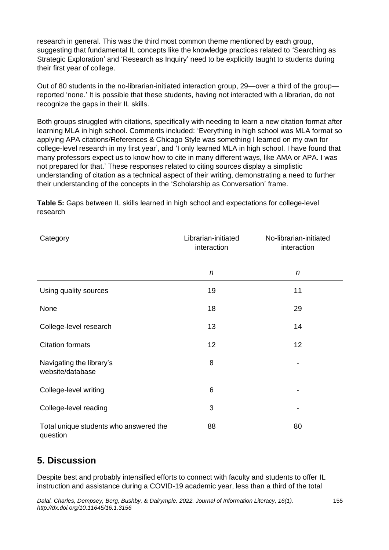research in general. This was the third most common theme mentioned by each group, suggesting that fundamental IL concepts like the knowledge practices related to 'Searching as Strategic Exploration' and 'Research as Inquiry' need to be explicitly taught to students during their first year of college.

Out of 80 students in the no-librarian-initiated interaction group, 29—over a third of the group reported 'none.' It is possible that these students, having not interacted with a librarian, do not recognize the gaps in their IL skills.

Both groups struggled with citations, specifically with needing to learn a new citation format after learning MLA in high school. Comments included: 'Everything in high school was MLA format so applying APA citations/References & Chicago Style was something I learned on my own for college-level research in my first year', and 'I only learned MLA in high school. I have found that many professors expect us to know how to cite in many different ways, like AMA or APA. I was not prepared for that.' These responses related to citing sources display a simplistic understanding of citation as a technical aspect of their writing, demonstrating a need to further their understanding of the concepts in the 'Scholarship as Conversation' frame.

| Category                                           | Librarian-initiated<br>interaction | No-librarian-initiated<br>interaction |  |
|----------------------------------------------------|------------------------------------|---------------------------------------|--|
|                                                    | n                                  | n                                     |  |
| Using quality sources                              | 19                                 | 11                                    |  |
| None                                               | 18                                 | 29                                    |  |
| College-level research                             | 13                                 | 14                                    |  |
| <b>Citation formats</b>                            | 12                                 | 12                                    |  |
| Navigating the library's<br>website/database       | 8                                  |                                       |  |
| College-level writing                              | 6                                  |                                       |  |
| College-level reading                              | 3                                  |                                       |  |
| Total unique students who answered the<br>question | 88                                 | 80                                    |  |

**Table 5:** Gaps between IL skills learned in high school and expectations for college-level research

# **5. Discussion**

Despite best and probably intensified efforts to connect with faculty and students to offer IL instruction and assistance during a COVID-19 academic year, less than a third of the total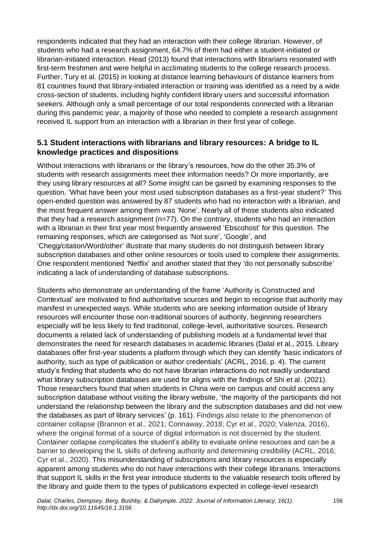respondents indicated that they had an interaction with their college librarian. However, of students who had a research assignment, 64.7% of them had either a student-initiated or librarian-initiated interaction. Head (2013) found that interactions with librarians resonated with first-term freshmen and were helpful in acclimating students to the college research process. Further, Tury et al. (2015) in looking at distance learning behaviours of distance learners from 81 countries found that library-initiated interaction or training was identified as a need by a wide cross-section of students, including highly confident library users and successful information seekers. Although only a small percentage of our total respondents connected with a librarian during this pandemic year, a majority of those who needed to complete a research assignment received IL support from an interaction with a librarian in their first year of college.

#### **5.1 Student interactions with librarians and library resources: A bridge to IL knowledge practices and dispositions**

Without interactions with librarians or the library's resources, how do the other 35.3% of students with research assignments meet their information needs? Or more importantly, are they using library resources at all? Some insight can be gained by examining responses to the question, 'What have been your most used subscription databases as a first-year student?' This open-ended question was answered by 87 students who had no interaction with a librarian, and the most frequent answer among them was 'None'. Nearly all of those students also indicated that they had a research assignment  $(n=77)$ . On the contrary, students who had an interaction with a librarian in their first year most frequently answered 'Ebscohost' for this question. The remaining responses, which are categorised as 'Not sure', 'Google', and 'Chegg/citation/Word/other' illustrate that many students do not distinguish between library subscription databases and other online resources or tools used to complete their assignments. One respondent mentioned 'Netflix' and another stated that they 'do not personally subscribe' indicating a lack of understanding of database subscriptions.

Students who demonstrate an understanding of the frame 'Authority is Constructed and Contextual' are motivated to find authoritative sources and begin to recognise that authority may manifest in unexpected ways. While students who are seeking information outside of library resources will encounter those non-traditional sources of authority, beginning researchers especially will be less likely to find traditional, college-level, authoritative sources. Research documents a related lack of understanding of publishing models at a fundamental level that demonstrates the need for research databases in academic libraries (Dalal et al., 2015. Library databases offer first-year students a platform through which they can identify 'basic indicators of authority, such as type of publication or author credentials' (ACRL, 2016, p. 4). The current study's finding that students who do not have librarian interactions do not readily understand what library subscription databases are used for aligns with the findings of Shi et al. (2021). Those researchers found that when students in China were on campus and could access any subscription database without visiting the library website, 'the majority of the participants did not understand the relationship between the library and the subscription databases and did not view the databases as part of library services' (p. 161). Findings also relate to the phenomenon of container collapse (Brannon et al., 2021; Connaway, 2018; Cyr et al., 2020; Valenza, 2016), where the original format of a source of digital information is not discerned by the student. Container collapse complicates the student's ability to evaluate online resources and can be a barrier to developing the IL skills of defining authority and determining credibility (ACRL, 2016; Cyr et al., 2020). This misunderstanding of subscriptions and library resources is especially apparent among students who do not have interactions with their college librarians. Interactions that support IL skills in the first year introduce students to the valuable research tools offered by the library and guide them to the types of publications expected in college-level research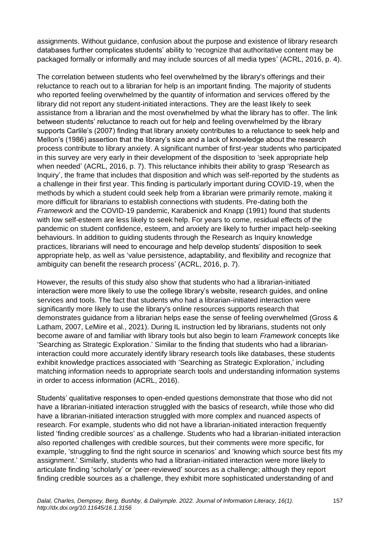assignments. Without guidance, confusion about the purpose and existence of library research databases further complicates students' ability to 'recognize that authoritative content may be packaged formally or informally and may include sources of all media types' (ACRL, 2016, p. 4).

The correlation between students who feel overwhelmed by the library's offerings and their reluctance to reach out to a librarian for help is an important finding. The majority of students who reported feeling overwhelmed by the quantity of information and services offered by the library did not report any student-initiated interactions. They are the least likely to seek assistance from a librarian and the most overwhelmed by what the library has to offer. The link between students' reluctance to reach out for help and feeling overwhelmed by the library supports Carlile's (2007) finding that library anxiety contributes to a reluctance to seek help and Mellon's (1986) assertion that the library's size and a lack of knowledge about the research process contribute to library anxiety. A significant number of first-year students who participated in this survey are very early in their development of the disposition to 'seek appropriate help when needed' (ACRL, 2016, p. 7). This reluctance inhibits their ability to grasp 'Research as Inquiry', the frame that includes that disposition and which was self-reported by the students as a challenge in their first year. This finding is particularly important during COVID-19, when the methods by which a student could seek help from a librarian were primarily remote, making it more difficult for librarians to establish connections with students. Pre-dating both the *Framework* and the COVID-19 pandemic, Karabenick and Knapp (1991) found that students with low self-esteem are less likely to seek help. For years to come, residual effects of the pandemic on student confidence, esteem, and anxiety are likely to further impact help-seeking behaviours. In addition to guiding students through the Research as Inquiry knowledge practices, librarians will need to encourage and help develop students' disposition to seek appropriate help, as well as 'value persistence, adaptability, and flexibility and recognize that ambiguity can benefit the research process' (ACRL, 2016, p. 7).

However, the results of this study also show that students who had a librarian-initiated interaction were more likely to use the college library's website, research guides, and online services and tools. The fact that students who had a librarian-initiated interaction were significantly more likely to use the library's online resources supports research that demonstrates guidance from a librarian helps ease the sense of feeling overwhelmed (Gross & Latham, 2007, LeMire et al., 2021). During IL instruction led by librarians, students not only become aware of and familiar with library tools but also begin to learn *Framework* concepts like 'Searching as Strategic Exploration.' Similar to the finding that students who had a librarianinteraction could more accurately identify library research tools like databases, these students exhibit knowledge practices associated with 'Searching as Strategic Exploration,' including matching information needs to appropriate search tools and understanding information systems in order to access information (ACRL, 2016).

Students' qualitative responses to open-ended questions demonstrate that those who did not have a librarian-initiated interaction struggled with the basics of research, while those who did have a librarian-initiated interaction struggled with more complex and nuanced aspects of research. For example, students who did not have a librarian-initiated interaction frequently listed 'finding credible sources' as a challenge. Students who had a librarian-initiated interaction also reported challenges with credible sources, but their comments were more specific, for example, 'struggling to find the right source in scenarios' and 'knowing which source best fits my assignment.' Similarly, students who had a librarian-initiated interaction were more likely to articulate finding 'scholarly' or 'peer-reviewed' sources as a challenge; although they report finding credible sources as a challenge, they exhibit more sophisticated understanding of and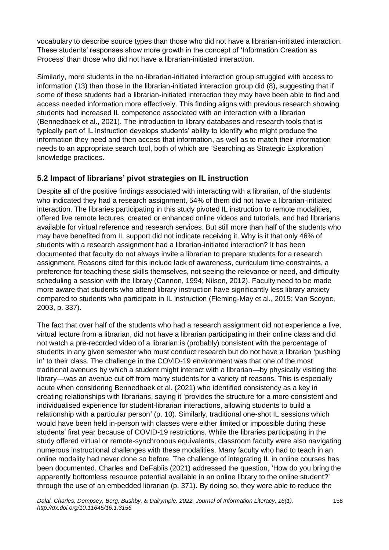vocabulary to describe source types than those who did not have a librarian-initiated interaction. These students' responses show more growth in the concept of 'Information Creation as Process' than those who did not have a librarian-initiated interaction.

Similarly, more students in the no-librarian-initiated interaction group struggled with access to information (13) than those in the librarian-initiated interaction group did (8), suggesting that if some of these students had a librarian-initiated interaction they may have been able to find and access needed information more effectively. This finding aligns with previous research showing students had increased IL competence associated with an interaction with a librarian (Bennedbaek et al., 2021). The introduction to library databases and research tools that is typically part of IL instruction develops students' ability to identify who might produce the information they need and then access that information, as well as to match their information needs to an appropriate search tool, both of which are 'Searching as Strategic Exploration' knowledge practices.

#### **5.2 Impact of librarians' pivot strategies on IL instruction**

Despite all of the positive findings associated with interacting with a librarian, of the students who indicated they had a research assignment, 54% of them did not have a librarian-initiated interaction. The libraries participating in this study pivoted IL instruction to remote modalities, offered live remote lectures, created or enhanced online videos and tutorials, and had librarians available for virtual reference and research services. But still more than half of the students who may have benefited from IL support did not indicate receiving it. Why is it that only 46% of students with a research assignment had a librarian-initiated interaction? It has been documented that faculty do not always invite a librarian to prepare students for a research assignment. Reasons cited for this include lack of awareness, curriculum time constraints, a preference for teaching these skills themselves, not seeing the relevance or need, and difficulty scheduling a session with the library (Cannon, 1994; Nilsen, 2012). Faculty need to be made more aware that students who attend library instruction have significantly less library anxiety compared to students who participate in IL instruction (Fleming-May et al., 2015; Van Scoyoc, 2003, p. 337).

The fact that over half of the students who had a research assignment did not experience a live, virtual lecture from a librarian, did not have a librarian participating in their online class and did not watch a pre-recorded video of a librarian is (probably) consistent with the percentage of students in any given semester who must conduct research but do not have a librarian 'pushing in' to their class. The challenge in the COVID-19 environment was that one of the most traditional avenues by which a student might interact with a librarian—by physically visiting the library—was an avenue cut off from many students for a variety of reasons. This is especially acute when considering Bennedbaek et al. (2021) who identified consistency as a key in creating relationships with librarians, saying it 'provides the structure for a more consistent and individualised experience for student-librarian interactions, allowing students to build a relationship with a particular person' (p. 10). Similarly, traditional one-shot IL sessions which would have been held in-person with classes were either limited or impossible during these students' first year because of COVID-19 restrictions. While the libraries participating in the study offered virtual or remote-synchronous equivalents, classroom faculty were also navigating numerous instructional challenges with these modalities. Many faculty who had to teach in an online modality had never done so before. The challenge of integrating IL in online courses has been documented. Charles and DeFabiis (2021) addressed the question, 'How do you bring the apparently bottomless resource potential available in an online library to the online student?' through the use of an embedded librarian (p. 371). By doing so, they were able to reduce the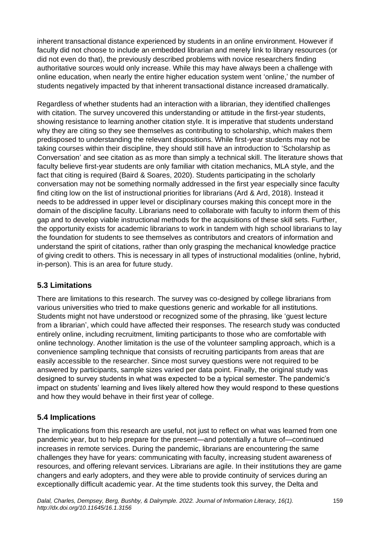inherent transactional distance experienced by students in an online environment. However if faculty did not choose to include an embedded librarian and merely link to library resources (or did not even do that), the previously described problems with novice researchers finding authoritative sources would only increase. While this may have always been a challenge with online education, when nearly the entire higher education system went 'online,' the number of students negatively impacted by that inherent transactional distance increased dramatically.

Regardless of whether students had an interaction with a librarian, they identified challenges with citation. The survey uncovered this understanding or attitude in the first-year students, showing resistance to learning another citation style. It is imperative that students understand why they are citing so they see themselves as contributing to scholarship, which makes them predisposed to understanding the relevant dispositions. While first-year students may not be taking courses within their discipline, they should still have an introduction to 'Scholarship as Conversation' and see citation as as more than simply a technical skill. The literature shows that faculty believe first-year students are only familiar with citation mechanics, MLA style, and the fact that citing is required (Baird & Soares, 2020). Students participating in the scholarly conversation may not be something normally addressed in the first year especially since faculty find citing low on the list of instructional priorities for librarians (Ard & Ard, 2018). Instead it needs to be addressed in upper level or disciplinary courses making this concept more in the domain of the discipline faculty. Librarians need to collaborate with faculty to inform them of this gap and to develop viable instructional methods for the acquisitions of these skill sets. Further, the opportunity exists for academic librarians to work in tandem with high school librarians to lay the foundation for students to see themselves as contributors and creators of information and understand the spirit of citations, rather than only grasping the mechanical knowledge practice of giving credit to others. This is necessary in all types of instructional modalities (online, hybrid, in-person). This is an area for future study.

#### **5.3 Limitations**

There are limitations to this research. The survey was co-designed by college librarians from various universities who tried to make questions generic and workable for all institutions. Students might not have understood or recognized some of the phrasing, like 'guest lecture from a librarian', which could have affected their responses. The research study was conducted entirely online, including recruitment, limiting participants to those who are comfortable with online technology. Another limitation is the use of the volunteer sampling approach, which is a convenience sampling technique that consists of recruiting participants from areas that are easily accessible to the researcher. Since most survey questions were not required to be answered by participants, sample sizes varied per data point. Finally, the original study was designed to survey students in what was expected to be a typical semester. The pandemic's impact on students' learning and lives likely altered how they would respond to these questions and how they would behave in their first year of college.

## **5.4 Implications**

The implications from this research are useful, not just to reflect on what was learned from one pandemic year, but to help prepare for the present—and potentially a future of—continued increases in remote services. During the pandemic, librarians are encountering the same challenges they have for years: communicating with faculty, increasing student awareness of resources, and offering relevant services. Librarians are agile. In their institutions they are game changers and early adopters, and they were able to provide continuity of services during an exceptionally difficult academic year. At the time students took this survey, the Delta and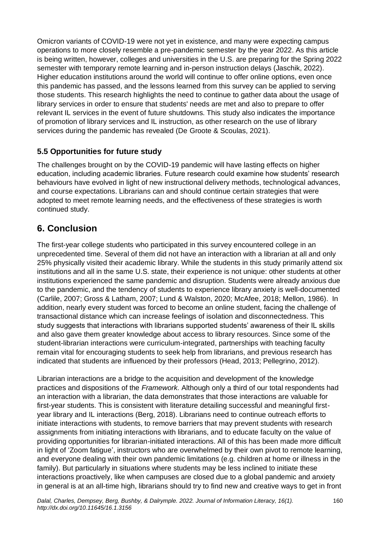Omicron variants of COVID-19 were not yet in existence, and many were expecting campus operations to more closely resemble a pre-pandemic semester by the year 2022. As this article is being written, however, colleges and universities in the U.S. are preparing for the Spring 2022 semester with temporary remote learning and in-person instruction delays (Jaschik, 2022). Higher education institutions around the world will continue to offer online options, even once this pandemic has passed, and the lessons learned from this survey can be applied to serving those students. This research highlights the need to continue to gather data about the usage of library services in order to ensure that students' needs are met and also to prepare to offer relevant IL services in the event of future shutdowns. This study also indicates the importance of promotion of library services and IL instruction, as other research on the use of library services during the pandemic has revealed (De Groote & Scoulas, 2021).

#### **5.5 Opportunities for future study**

The challenges brought on by the COVID-19 pandemic will have lasting effects on higher education, including academic libraries. Future research could examine how students' research behaviours have evolved in light of new instructional delivery methods, technological advances, and course expectations. Librarians can and should continue certain strategies that were adopted to meet remote learning needs, and the effectiveness of these strategies is worth continued study.

# **6. Conclusion**

The first-year college students who participated in this survey encountered college in an unprecedented time. Several of them did not have an interaction with a librarian at all and only 25% physically visited their academic library. While the students in this study primarily attend six institutions and all in the same U.S. state, their experience is not unique: other students at other institutions experienced the same pandemic and disruption. Students were already anxious due to the pandemic, and the tendency of students to experience library anxiety is well-documented (Carlile, 2007; Gross & Latham, 2007; Lund & Walston, 2020; McAfee, 2018; Mellon, 1986). In addition, nearly every student was forced to become an online student, facing the challenge of transactional distance which can increase feelings of isolation and disconnectedness. This study suggests that interactions with librarians supported students' awareness of their IL skills and also gave them greater knowledge about access to library resources. Since some of the student-librarian interactions were curriculum-integrated, partnerships with teaching faculty remain vital for encouraging students to seek help from librarians, and previous research has indicated that students are influenced by their professors (Head, 2013; Pellegrino, 2012).

Librarian interactions are a bridge to the acquisition and development of the knowledge practices and dispositions of the *Framework.* Although only a third of our total respondents had an interaction with a librarian, the data demonstrates that those interactions are valuable for first-year students. This is consistent with literature detailing successful and meaningful firstyear library and IL interactions (Berg, 2018). Librarians need to continue outreach efforts to initiate interactions with students, to remove barriers that may prevent students with research assignments from initiating interactions with librarians, and to educate faculty on the value of providing opportunities for librarian-initiated interactions. All of this has been made more difficult in light of 'Zoom fatigue', instructors who are overwhelmed by their own pivot to remote learning, and everyone dealing with their own pandemic limitations (e.g. children at home or illness in the family). But particularly in situations where students may be less inclined to initiate these interactions proactively, like when campuses are closed due to a global pandemic and anxiety in general is at an all-time high, librarians should try to find new and creative ways to get in front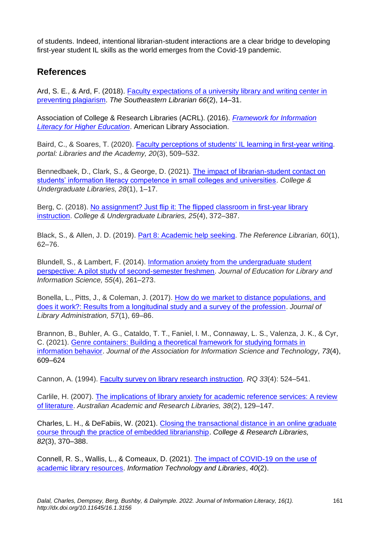of students. Indeed, intentional librarian-student interactions are a clear bridge to developing first-year student IL skills as the world emerges from the Covid-19 pandemic.

## **References**

Ard, S. E., & Ard, F. (2018). [Faculty expectations of a university library and writing center in](https://digitalcommons.kennesaw.edu/seln/vol66/iss2/4?utm_source=digitalcommons.kennesaw.edu%2Fseln%2Fvol66%2Fiss2%2F4&utm_medium=PDF&utm_campaign=PDFCoverPages)  [preventing plagiarism.](https://digitalcommons.kennesaw.edu/seln/vol66/iss2/4?utm_source=digitalcommons.kennesaw.edu%2Fseln%2Fvol66%2Fiss2%2F4&utm_medium=PDF&utm_campaign=PDFCoverPages) *The Southeastern Librarian 66*(2), 14–31.

Association of College & Research Libraries (ACRL). (2016). *[Framework for Information](https://www.ala.org/acrl/sites/ala.org.acrl/files/content/issues/infolit/Framework_ILHE.pdf)  [Literacy for Higher Education](https://www.ala.org/acrl/sites/ala.org.acrl/files/content/issues/infolit/Framework_ILHE.pdf)*. American Library Association.

Baird, C., & Soares, T. (2020). [Faculty perceptions of students' IL learning in first-year writing.](https://doi.org/10.1353/pla.2020.0028) *portal: Libraries and the Academy, 20*(3), 509–532.

Bennedbaek, D., Clark, S., & George, D. (2021). [The impact of librarian-student contact on](https://doi.org/10.1080/10691316.2020.1830907)  [students' information literacy competence in small colleges and universities.](https://doi.org/10.1080/10691316.2020.1830907) *College & Undergraduate Libraries, 28*(1), 1–17.

Berg, C. (2018). [No assignment? Just flip it: The flipped classroom in first-year library](https://doi.org/10.1080/10691316.2018.1539366)  [instruction.](https://doi.org/10.1080/10691316.2018.1539366) *College & Undergraduate Libraries, 25*(4), 372–387.

Black, S., & Allen, J. D. (2019). [Part 8: Academic help seeking.](https://doi.org/10.1080/02763877.2018.1533910) *The Reference Librarian, 60*(1), 62–76.

Blundell, S., & Lambert, F. (2014). [Information anxiety from the undergraduate student](https://www.jstor.org/stable/43686992)  [perspective: A pilot study of second-semester freshmen.](https://www.jstor.org/stable/43686992) *Journal of Education for Library and Information Science, 55*(4), 261–273.

Bonella, L., Pitts, J., & Coleman, J. (2017). [How do we market to distance populations, and](https://doi.org/10.1080/01930826.2016.1202720)  [does it work?: Results from a longitudinal study and a survey of the profession.](https://doi.org/10.1080/01930826.2016.1202720) *Journal of Library Administration, 57*(1), 69–86.

Brannon, B., Buhler, A. G., Cataldo, T. T., Faniel, I. M., Connaway, L. S., Valenza, J. K., & Cyr, C. (2021). [Genre containers: Building a theoretical framework for studying formats in](https://doi.org/10.1002/asi.24600)  [information behavior.](https://doi.org/10.1002/asi.24600) *Journal of the Association for Information Science and Technology, 73*(4), 609–624

Cannon, A. (1994). [Faculty survey on library research instruction.](https://www.jstor.org/stable/20862531) *RQ 33*(4): 524–541.

Carlile, H. (2007). [The implications of library anxiety for academic reference services: A review](https://doi.org/10.1080/00048623.2007.10721282)  [of literature.](https://doi.org/10.1080/00048623.2007.10721282) *Australian Academic and Research Libraries, 38*(2), 129–147.

Charles, L. H., & DeFabiis, W. (2021). Closing the transactional distance in an online graduate [course through the practice of embedded librarianship.](https://doi.org/10.5860/crl.82.3.370) *College & Research Libraries, 82*(3), 370–388.

Connell, R. S., Wallis, L., & Comeaux, D. (2021). [The impact of COVID-19 on the use of](https://doi.org/10.6017/ital.v40i2.12629)  [academic library resources.](https://doi.org/10.6017/ital.v40i2.12629) *Information Technology and Libraries*, *40*(2).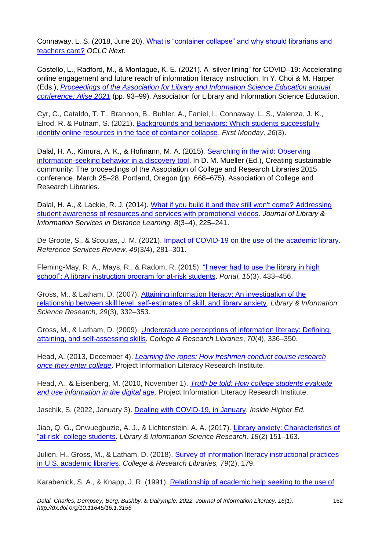Connaway, L. S. (2018, June 20). [What is "container collapse" and why should librarians and](https://blog.oclc.org/next/what-is-container-collapse-and-why-should-librarians-and-teachers-care/)  [teachers care?](https://blog.oclc.org/next/what-is-container-collapse-and-why-should-librarians-and-teachers-care/) *OCLC Next*.

Costello, L., Radford, M., & Montague, K. E. (2021). A "silver lining" for COVID–19: Accelerating online engagement and future reach of information literacy instruction. In Y. Choi & M. Harper (Eds.), *[Proceedings of the Association for Library and Information Science Education annual](http://hdl.handle.net/2142/110975)  [conference: Alise 2021](http://hdl.handle.net/2142/110975)* (pp. 93–99). Association for Library and Information Science Education.

Cyr, C., Cataldo, T. T., Brannon, B., Buhler, A., Faniel, I., Connaway, L. S., Valenza, J. K., Elrod, R. & Putnam, S. (2021). Backgrounds and behaviors: Which students successfully [identify online resources in the face of container collapse.](https://doi.org/10.5210/fm.v26i3.10871) *First Monday, 26*(3).

Dalal, H. A., Kimura, A. K., & Hofmann, M. A. (2015). [Searching in the wild: Observing](https://www.ala.org/acrl/sites/ala.org.acrl/files/content/conferences/confsandpreconfs/2015/Dalal_Kimura_Hofmann.pdf)  [information-seeking behavior in a discovery tool.](https://www.ala.org/acrl/sites/ala.org.acrl/files/content/conferences/confsandpreconfs/2015/Dalal_Kimura_Hofmann.pdf) In D. M. Mueller (Ed.), Creating sustainable community: The proceedings of the Association of College and Research Libraries 2015 conference, March 25–28, Portland, Oregon (pp. 668–675). Association of College and Research Libraries.

Dalal, H. A., & Lackie, R. J. (2014). [What if you build it and they still won't come? Addressing](https://doi.org/10.1080/1533290X.2014.945841)  [student awareness of resources and services with promotional videos.](https://doi.org/10.1080/1533290X.2014.945841) *Journal of Library & Information Services in Distance Learning, 8*(3–4), 225–241.

De Groote, S., & Scoulas, J. M. (2021). [Impact of COVID-19 on the use of the academic library.](https://doi.org/10.1108/rsr-07-2021-0043) *Reference Services Review, 49*(3/4), 281–301.

Fleming-May, R. A., Mays, R., & Radom, R. (2015). "I never had to use the library in high [school": A library instruction program for at-risk students.](https://doi.org/10.1353/pla.2015.0038) *Portal, 15*(3), 433–456.

Gross, M., & Latham, D. (2007). [Attaining information literacy: An investigation of the](https://doi.org/10.1016/j.lisr.2007.04.012)  [relationship between skill level, self-estimates of skill, and library anxiety.](https://doi.org/10.1016/j.lisr.2007.04.012) *Library & Information Science Research, 29*(3), 332–353.

Gross, M., & Latham, D. (2009). [Undergraduate perceptions of information literacy: Defining,](https://doi.org/10.5860/0700336)  [attaining, and self-assessing skills.](https://doi.org/10.5860/0700336) *College & Research Libraries*, *70*(4), 336–350.

Head, A. (2013, December 4). *[Learning the ropes: How freshmen conduct course research](https://projectinfolit.org/pubs/first-year-experience-study/pil_firstyear-experience_2013-12-04.pdf)  [once they enter college.](https://projectinfolit.org/pubs/first-year-experience-study/pil_firstyear-experience_2013-12-04.pdf)* Project Information Literacy Research Institute.

Head, A., & Eisenberg, M. (2010, November 1). *[Truth be told: How college students evaluate](https://projectinfolit.org/pil-public-v1/wp-content/uploads/2020/08/pil_fall2010_survey_fullreport1.pdf)  [and use information in the digital age.](https://projectinfolit.org/pil-public-v1/wp-content/uploads/2020/08/pil_fall2010_survey_fullreport1.pdf)* Project Information Literacy Research Institute.

Jaschik, S. (2022, January 3). [Dealing with COVID-19, in January.](https://www.insidehighered.com/news/2022/01/03/colleges-face-question-starting-semester-amid-covid-19) *Inside Higher Ed.*

Jiao, Q. G., Onwuegbuzie, A. J., & Lichtenstein, A. A. (2017). [Library anxiety: Characteristics of](https://doi.org/10.1016/s0740-8188(96)90017-1)  "at-risk" [college students.](https://doi.org/10.1016/s0740-8188(96)90017-1) *Library & Information Science Research, 18*(2) 151–163.

Julien, H., Gross, M., & Latham, D. (2018). [Survey of information literacy instructional practices](https://doi.org/10.5860/crl.79.2.179)  [in U.S. academic libraries.](https://doi.org/10.5860/crl.79.2.179) *College & Research Libraries, 79*(2), 179.

Karabenick, S. A., & Knapp, J. R. (1991). [Relationship of academic help seeking to the use of](https://doi.org/10.1037/0022-0663.83.2.221)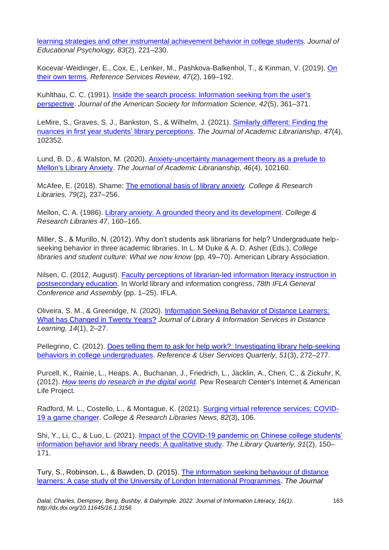[learning strategies and other instrumental achievement behavior in college students.](https://doi.org/10.1037/0022-0663.83.2.221) *Journal of Educational Psychology, 83*(2), 221–230.

Kocevar-Weidinger, E., Cox, E., Lenker, M., Pashkova-Balkenhol, T., & Kinman, V. (2019). [On](https://doi.org/10.1108/RSR-02-2019-0007)  [their own terms.](https://doi.org/10.1108/RSR-02-2019-0007) *Reference Services Review, 47*(2), 169–192.

Kuhlthau, C. C. (1991). Inside the search process: Information seeking from the user's [perspective.](https://doi.org/10.1002/(SICI)1097-4571(199106)42:5%3c361::AID-ASI6%3e3.0.CO;2-%23) *Journal of the American Society for Information Science, 42*(5), 361–371.

LeMire, S., Graves, S. J., Bankston, S., & Wilhelm, J. (2021). [Similarly different: Finding the](https://doi.org/10.1016/j.acalib.2021.102352)  [nuances in first year students'](https://doi.org/10.1016/j.acalib.2021.102352) library perceptions. *The Journal of Academic Librarianship*, *47*(4), 102352.

Lund, B. D., & Walston, M. (2020). [Anxiety-uncertainty management theory as a prelude to](https://doi.org/10.1016/j.acalib.2020.102160)  [Mellon's Library Anxiety.](https://doi.org/10.1016/j.acalib.2020.102160) *The Journal of Academic Librarianship, 46*(4), 102160.

McAfee, E. (2018). Shame: [The emotional basis of library anxiety.](https://doi.org/10.5860/crl.79.2.237) *College & Research Libraries, 79*(2), 237–256.

Mellon, C. A. (1986). [Library anxiety: A grounded theory and its development.](https://crl.acrl.org/index.php/crl/article/view/14195/15641) *College & Research Libraries 47*, 160–165.

Miller, S., & Murillo, N. (2012). Why don't students ask librarians for help? Undergraduate helpseeking behavior in three academic libraries. In L. M Duke & A. D. Asher (Eds.), *College libraries and student culture: What we now know* (pp. 49–70). American Library Association.

Nilsen, C. (2012, August). [Faculty perceptions of librarian-led information literacy instruction in](https://www.ifla.org/past-wlic/2012/105-nilsen-en.pdf)  [postsecondary education.](https://www.ifla.org/past-wlic/2012/105-nilsen-en.pdf) In World library and information congress, *78th IFLA General Conference and Assembly* (pp. 1–25). IFLA.

Oliveira, S. M., & Greenidge, N. (2020). [Information Seeking Behavior of Distance Learners:](https://doi.org/10.1080/1533290X.2020.1791301)  [What has Changed in Twenty Years?](https://doi.org/10.1080/1533290X.2020.1791301) *Journal of Library & Information Services in Distance Learning, 14*(1), 2–27.

Pellegrino, C. (2012). [Does telling them to ask for help work?: Investigating library help-seeking](http://dx.doi.org/10.5860/rusq.51n3.272)  [behaviors in college undergraduates.](http://dx.doi.org/10.5860/rusq.51n3.272) *Reference & User Services Quarterly, 51*(3), 272–277.

Purcell, K., Rainie, L., Heaps, A., Buchanan, J., Friedrich, L., Jacklin, A., Chen, C., & Zickuhr, K. (2012). [How teens do research in the digital world.](https://www.pewresearch.org/internet/2012/11/01/how-teens-do-research-in-the-digital-world/) Pew Research Center's Internet & American Life Project.

Radford, M. L., Costello, L., & Montague, K. (2021). [Surging virtual reference services: COVID-](https://doi.org/10.5860/crln.82.3.106)[19 a game changer.](https://doi.org/10.5860/crln.82.3.106) *College & Research Libraries News, 82*(3), 106.

Shi, Y., Li, C., & Luo, L. (2021). [Impact of the COVID-19 pandemic on Chinese college students'](https://doi.org/10.1086/713051)  [information behavior and library needs: A qualitative study.](https://doi.org/10.1086/713051) *The Library Quarterly, 91*(2), 150– 171.

Tury, S., Robinson, L., & Bawden, D. (2015). [The information seeking behaviour of distance](https://doi.org/10.1016/j.acalib.2015.03.008)  [learners: A case study of the University of London International Programmes.](https://doi.org/10.1016/j.acalib.2015.03.008) *The Journal*